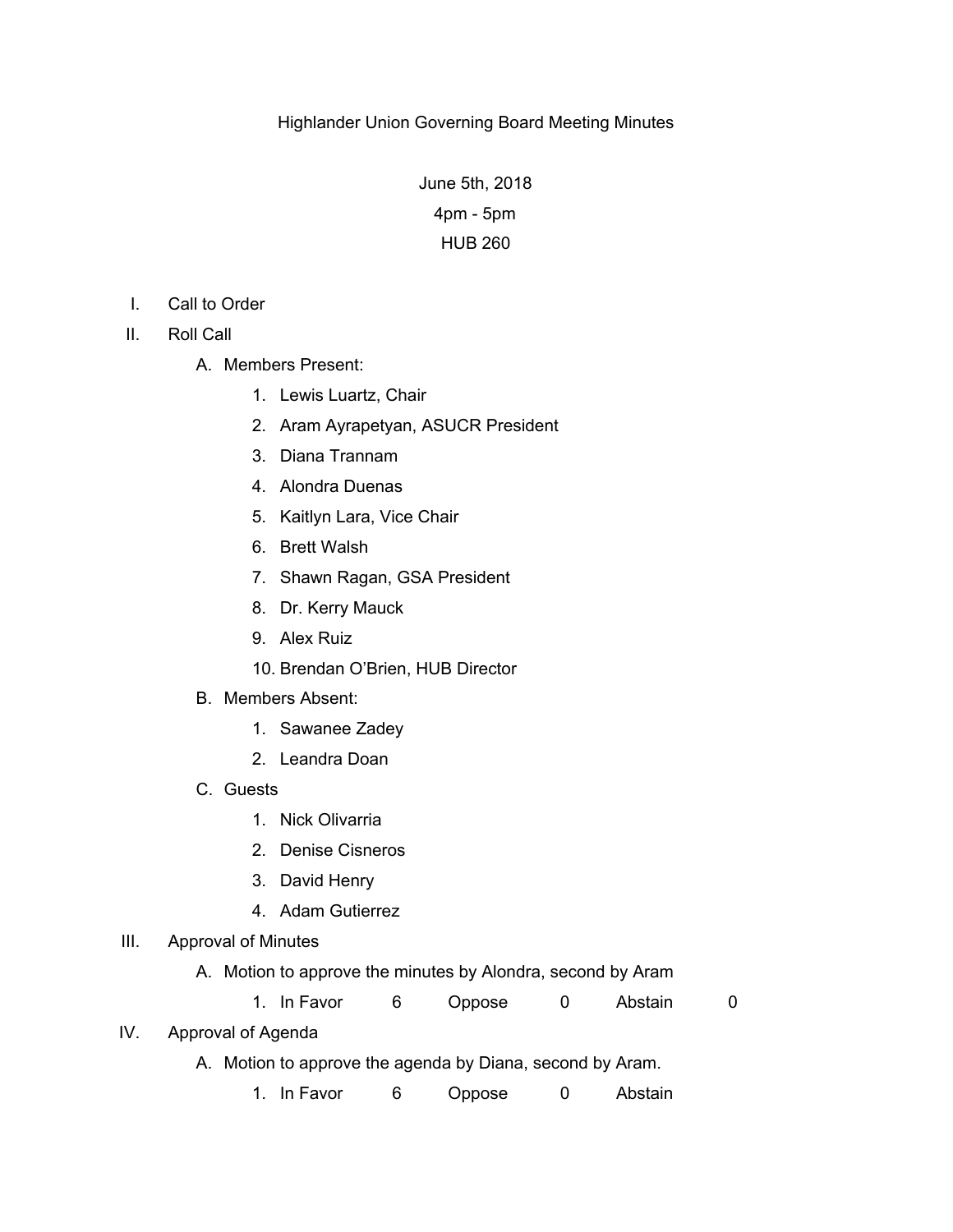June 5th, 2018 4pm - 5pm HUB 260

- I. Call to Order
- II. Roll Call
	- A. Members Present:
		- 1. Lewis Luartz, Chair
		- 2. Aram Ayrapetyan, ASUCR President
		- 3. Diana Trannam
		- 4. Alondra Duenas
		- 5. Kaitlyn Lara, Vice Chair
		- 6. Brett Walsh
		- 7. Shawn Ragan, GSA President
		- 8. Dr. Kerry Mauck
		- 9. Alex Ruiz
		- 10. Brendan O'Brien, HUB Director
	- B. Members Absent:
		- 1. Sawanee Zadey
		- 2. Leandra Doan
	- C. Guests
		- 1. Nick Olivarria
		- 2. Denise Cisneros
		- 3. David Henry
		- 4. Adam Gutierrez

## III. Approval of Minutes

A. Motion to approve the minutes by Alondra, second by Aram

1. In Favor 6 Oppose 0 Abstain 0

# IV. Approval of Agenda

- A. Motion to approve the agenda by Diana, second by Aram.
	- 1. In Favor 6 Oppose 0 Abstain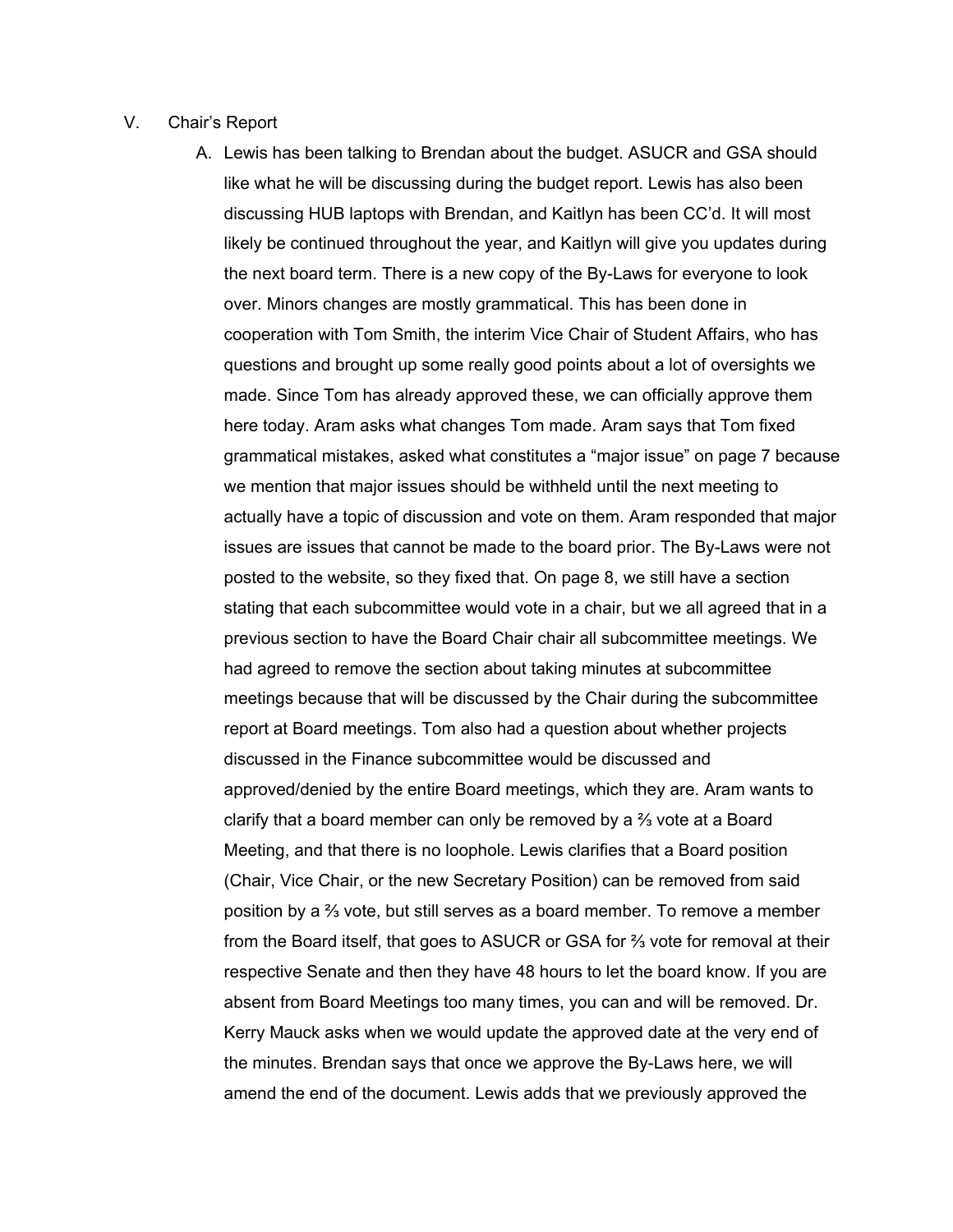#### V. Chair's Report

A. Lewis has been talking to Brendan about the budget. ASUCR and GSA should like what he will be discussing during the budget report. Lewis has also been discussing HUB laptops with Brendan, and Kaitlyn has been CC'd. It will most likely be continued throughout the year, and Kaitlyn will give you updates during the next board term. There is a new copy of the By-Laws for everyone to look over. Minors changes are mostly grammatical. This has been done in cooperation with Tom Smith, the interim Vice Chair of Student Affairs, who has questions and brought up some really good points about a lot of oversights we made. Since Tom has already approved these, we can officially approve them here today. Aram asks what changes Tom made. Aram says that Tom fixed grammatical mistakes, asked what constitutes a "major issue" on page 7 because we mention that major issues should be withheld until the next meeting to actually have a topic of discussion and vote on them. Aram responded that major issues are issues that cannot be made to the board prior. The By-Laws were not posted to the website, so they fixed that. On page 8, we still have a section stating that each subcommittee would vote in a chair, but we all agreed that in a previous section to have the Board Chair chair all subcommittee meetings. We had agreed to remove the section about taking minutes at subcommittee meetings because that will be discussed by the Chair during the subcommittee report at Board meetings. Tom also had a question about whether projects discussed in the Finance subcommittee would be discussed and approved/denied by the entire Board meetings, which they are. Aram wants to clarify that a board member can only be removed by a ⅔ vote at a Board Meeting, and that there is no loophole. Lewis clarifies that a Board position (Chair, Vice Chair, or the new Secretary Position) can be removed from said position by a ⅔ vote, but still serves as a board member. To remove a member from the Board itself, that goes to ASUCR or GSA for ⅔ vote for removal at their respective Senate and then they have 48 hours to let the board know. If you are absent from Board Meetings too many times, you can and will be removed. Dr. Kerry Mauck asks when we would update the approved date at the very end of the minutes. Brendan says that once we approve the By-Laws here, we will amend the end of the document. Lewis adds that we previously approved the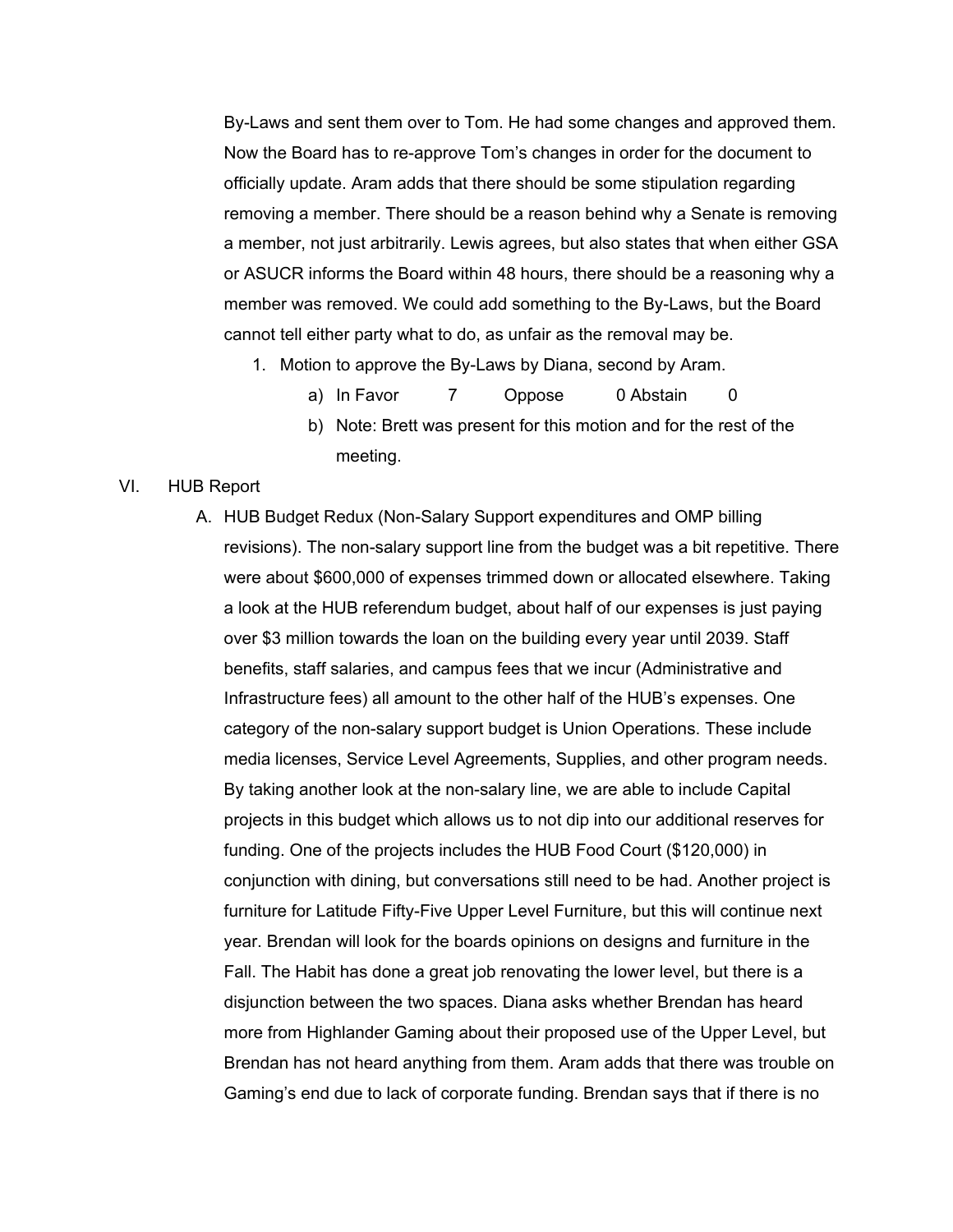By-Laws and sent them over to Tom. He had some changes and approved them. Now the Board has to re-approve Tom's changes in order for the document to officially update. Aram adds that there should be some stipulation regarding removing a member. There should be a reason behind why a Senate is removing a member, not just arbitrarily. Lewis agrees, but also states that when either GSA or ASUCR informs the Board within 48 hours, there should be a reasoning why a member was removed. We could add something to the By-Laws, but the Board cannot tell either party what to do, as unfair as the removal may be.

- 1. Motion to approve the By-Laws by Diana, second by Aram.
	- a) In Favor 7 Oppose 0 Abstain 0
	- b) Note: Brett was present for this motion and for the rest of the meeting.

#### VI. HUB Report

A. HUB Budget Redux (Non-Salary Support expenditures and OMP billing revisions). The non-salary support line from the budget was a bit repetitive. There were about \$600,000 of expenses trimmed down or allocated elsewhere. Taking a look at the HUB referendum budget, about half of our expenses is just paying over \$3 million towards the loan on the building every year until 2039. Staff benefits, staff salaries, and campus fees that we incur (Administrative and Infrastructure fees) all amount to the other half of the HUB's expenses. One category of the non-salary support budget is Union Operations. These include media licenses, Service Level Agreements, Supplies, and other program needs. By taking another look at the non-salary line, we are able to include Capital projects in this budget which allows us to not dip into our additional reserves for funding. One of the projects includes the HUB Food Court (\$120,000) in conjunction with dining, but conversations still need to be had. Another project is furniture for Latitude Fifty-Five Upper Level Furniture, but this will continue next year. Brendan will look for the boards opinions on designs and furniture in the Fall. The Habit has done a great job renovating the lower level, but there is a disjunction between the two spaces. Diana asks whether Brendan has heard more from Highlander Gaming about their proposed use of the Upper Level, but Brendan has not heard anything from them. Aram adds that there was trouble on Gaming's end due to lack of corporate funding. Brendan says that if there is no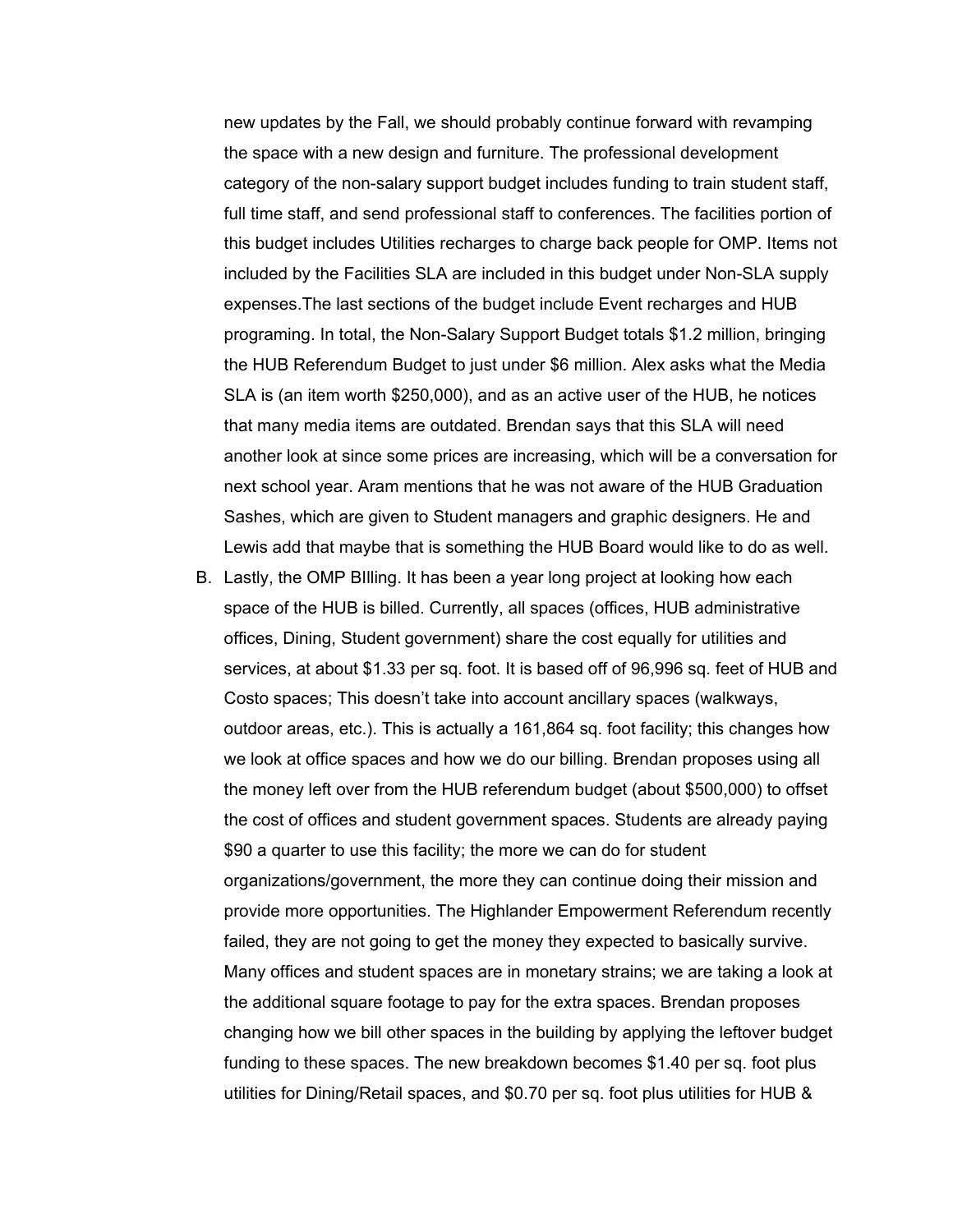new updates by the Fall, we should probably continue forward with revamping the space with a new design and furniture. The professional development category of the non-salary support budget includes funding to train student staff, full time staff, and send professional staff to conferences. The facilities portion of this budget includes Utilities recharges to charge back people for OMP. Items not included by the Facilities SLA are included in this budget under Non-SLA supply expenses.The last sections of the budget include Event recharges and HUB programing. In total, the Non-Salary Support Budget totals \$1.2 million, bringing the HUB Referendum Budget to just under \$6 million. Alex asks what the Media SLA is (an item worth \$250,000), and as an active user of the HUB, he notices that many media items are outdated. Brendan says that this SLA will need another look at since some prices are increasing, which will be a conversation for next school year. Aram mentions that he was not aware of the HUB Graduation Sashes, which are given to Student managers and graphic designers. He and Lewis add that maybe that is something the HUB Board would like to do as well.

B. Lastly, the OMP BIlling. It has been a year long project at looking how each space of the HUB is billed. Currently, all spaces (offices, HUB administrative offices, Dining, Student government) share the cost equally for utilities and services, at about \$1.33 per sq. foot. It is based off of 96,996 sq. feet of HUB and Costo spaces; This doesn't take into account ancillary spaces (walkways, outdoor areas, etc.). This is actually a 161,864 sq. foot facility; this changes how we look at office spaces and how we do our billing. Brendan proposes using all the money left over from the HUB referendum budget (about \$500,000) to offset the cost of offices and student government spaces. Students are already paying \$90 a quarter to use this facility; the more we can do for student organizations/government, the more they can continue doing their mission and provide more opportunities. The Highlander Empowerment Referendum recently failed, they are not going to get the money they expected to basically survive. Many offices and student spaces are in monetary strains; we are taking a look at the additional square footage to pay for the extra spaces. Brendan proposes changing how we bill other spaces in the building by applying the leftover budget funding to these spaces. The new breakdown becomes \$1.40 per sq. foot plus utilities for Dining/Retail spaces, and \$0.70 per sq. foot plus utilities for HUB &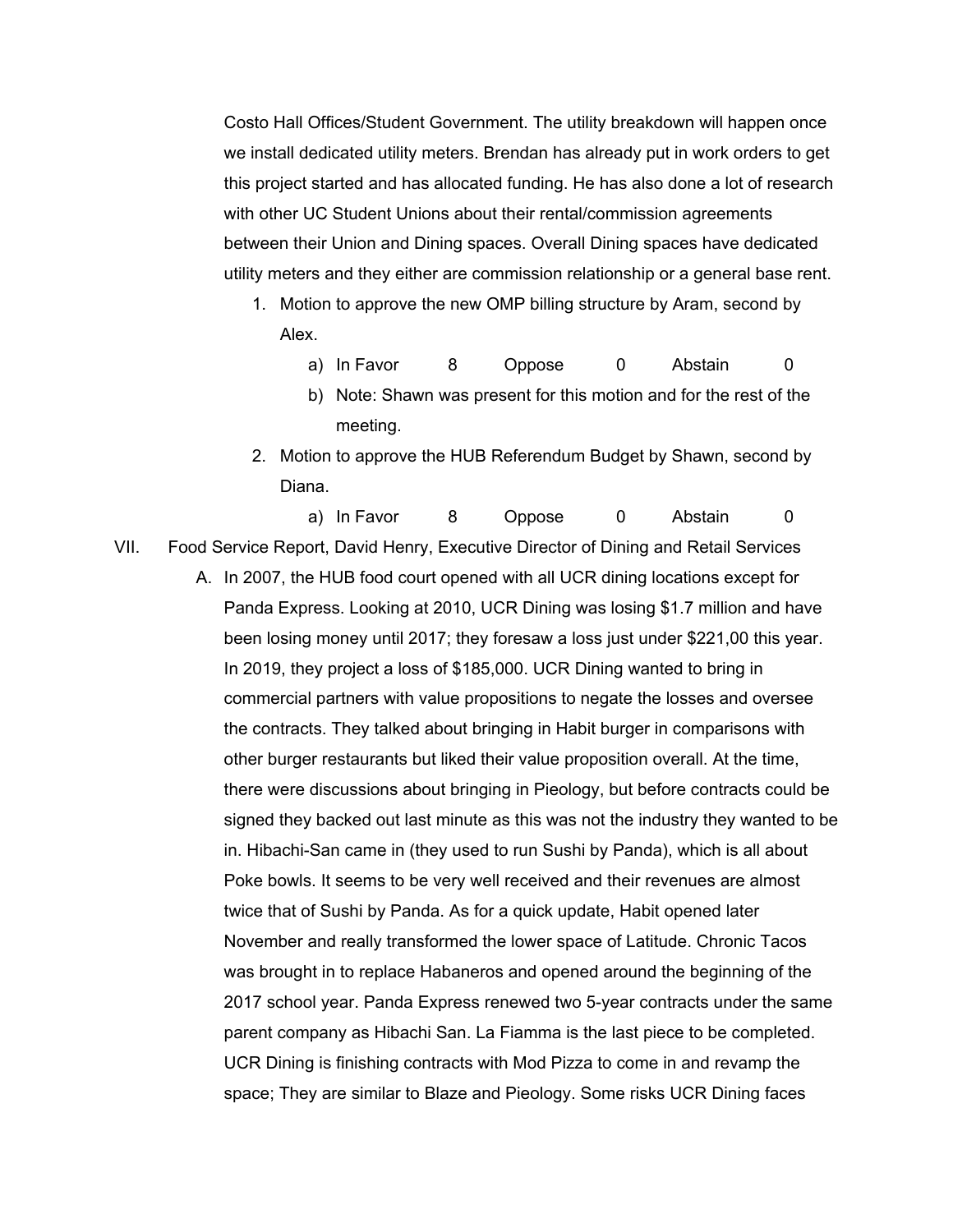Costo Hall Offices/Student Government. The utility breakdown will happen once we install dedicated utility meters. Brendan has already put in work orders to get this project started and has allocated funding. He has also done a lot of research with other UC Student Unions about their rental/commission agreements between their Union and Dining spaces. Overall Dining spaces have dedicated utility meters and they either are commission relationship or a general base rent.

- 1. Motion to approve the new OMP billing structure by Aram, second by Alex.
	- a) In Favor 8 Oppose 0 Abstain 0
	- b) Note: Shawn was present for this motion and for the rest of the meeting.
- 2. Motion to approve the HUB Referendum Budget by Shawn, second by Diana.

a) In Favor 8 Oppose 0 Abstain 0

- VII. Food Service Report, David Henry, Executive Director of Dining and Retail Services
	- A. In 2007, the HUB food court opened with all UCR dining locations except for Panda Express. Looking at 2010, UCR Dining was losing \$1.7 million and have been losing money until 2017; they foresaw a loss just under \$221,00 this year. In 2019, they project a loss of \$185,000. UCR Dining wanted to bring in commercial partners with value propositions to negate the losses and oversee the contracts. They talked about bringing in Habit burger in comparisons with other burger restaurants but liked their value proposition overall. At the time, there were discussions about bringing in Pieology, but before contracts could be signed they backed out last minute as this was not the industry they wanted to be in. Hibachi-San came in (they used to run Sushi by Panda), which is all about Poke bowls. It seems to be very well received and their revenues are almost twice that of Sushi by Panda. As for a quick update, Habit opened later November and really transformed the lower space of Latitude. Chronic Tacos was brought in to replace Habaneros and opened around the beginning of the 2017 school year. Panda Express renewed two 5-year contracts under the same parent company as Hibachi San. La Fiamma is the last piece to be completed. UCR Dining is finishing contracts with Mod Pizza to come in and revamp the space; They are similar to Blaze and Pieology. Some risks UCR Dining faces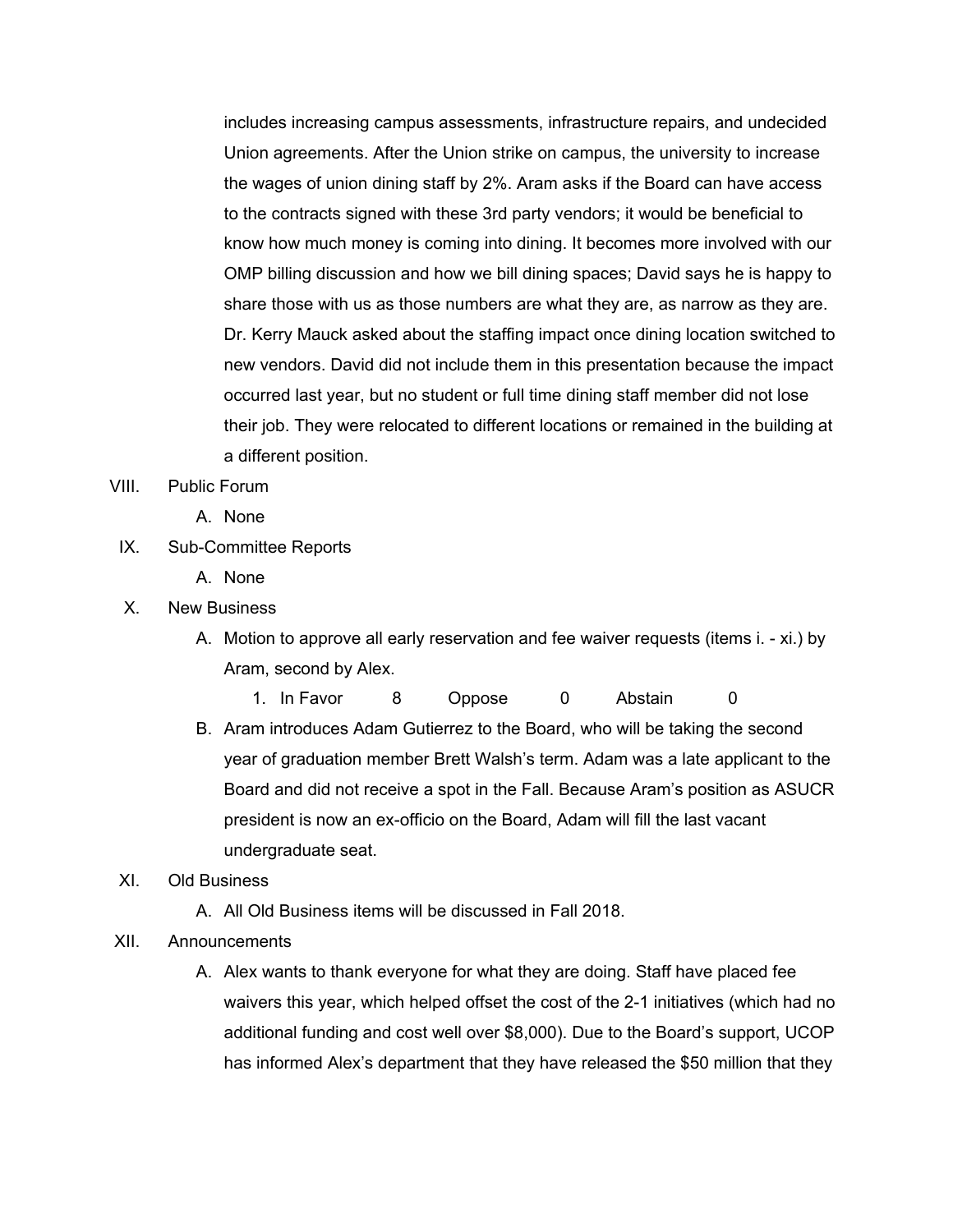includes increasing campus assessments, infrastructure repairs, and undecided Union agreements. After the Union strike on campus, the university to increase the wages of union dining staff by 2%. Aram asks if the Board can have access to the contracts signed with these 3rd party vendors; it would be beneficial to know how much money is coming into dining. It becomes more involved with our OMP billing discussion and how we bill dining spaces; David says he is happy to share those with us as those numbers are what they are, as narrow as they are. Dr. Kerry Mauck asked about the staffing impact once dining location switched to new vendors. David did not include them in this presentation because the impact occurred last year, but no student or full time dining staff member did not lose their job. They were relocated to different locations or remained in the building at a different position.

- VIII. Public Forum
	- A. None
- IX. Sub-Committee Reports
	- A. None
- X. New Business
	- A. Motion to approve all early reservation and fee waiver requests (items i. xi.) by Aram, second by Alex.
		- 1. In Favor 8 Oppose 0 Abstain 0
	- B. Aram introduces Adam Gutierrez to the Board, who will be taking the second year of graduation member Brett Walsh's term. Adam was a late applicant to the Board and did not receive a spot in the Fall. Because Aram's position as ASUCR president is now an ex-officio on the Board, Adam will fill the last vacant undergraduate seat.

### XI. Old Business

- A. All Old Business items will be discussed in Fall 2018.
- XII. Announcements
	- A. Alex wants to thank everyone for what they are doing. Staff have placed fee waivers this year, which helped offset the cost of the 2-1 initiatives (which had no additional funding and cost well over \$8,000). Due to the Board's support, UCOP has informed Alex's department that they have released the \$50 million that they